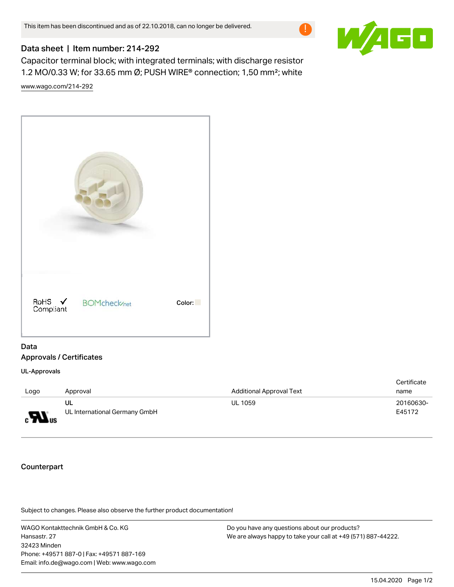

## Data sheet | Item number: 214-292

Capacitor terminal block; with integrated terminals; with discharge resistor 1.2 MO/0.33 W; for 33.65 mm Ø; PUSH WIRE® connection; 1,50 mm²; white [www.wago.com/214-292](http://www.wago.com/214-292)



## Data Approvals / Certificates

UL-Approvals

|                      |                               |                                 | Certificate |
|----------------------|-------------------------------|---------------------------------|-------------|
| Logo                 | Approval                      | <b>Additional Approval Text</b> | name        |
|                      | ul                            | <b>UL 1059</b>                  | 20160630-   |
| $_{\rm c}H_{\rm us}$ | UL International Germany GmbH |                                 | E45172      |

## Counterpart

Subject to changes. Please also observe the further product documentation!

WAGO Kontakttechnik GmbH & Co. KG Hansastr. 27 32423 Minden Phone: +49571 887-0 | Fax: +49571 887-169 Email: info.de@wago.com | Web: www.wago.com Do you have any questions about our products? We are always happy to take your call at +49 (571) 887-44222.